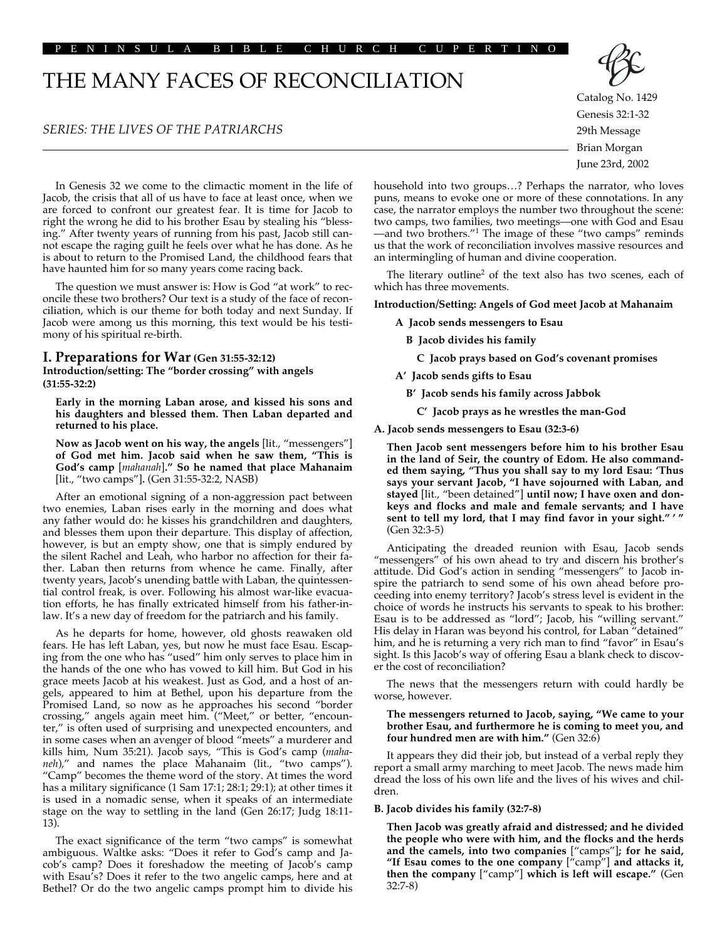#### PENINSULA BIBLE CHURCH CUPERTINO

# THE MANY FACES OF RECONCILIATION

# *SERIES: THE LIVES OF THE PATRIARCHS*



Catalog No. 1429 Genesis 32:1-32 29th Message Brian Morgan June 23rd, 2002

In Genesis 32 we come to the climactic moment in the life of Jacob, the crisis that all of us have to face at least once, when we are forced to confront our greatest fear. It is time for Jacob to right the wrong he did to his brother Esau by stealing his "blessing." After twenty years of running from his past, Jacob still cannot escape the raging guilt he feels over what he has done. As he is about to return to the Promised Land, the childhood fears that have haunted him for so many years come racing back.

The question we must answer is: How is God "at work" to reconcile these two brothers? Our text is a study of the face of reconciliation, which is our theme for both today and next Sunday. If Jacob were among us this morning, this text would be his testimony of his spiritual re-birth.

# **I. Preparations for War (Gen 31:55-32:12)**

**Introduction/setting: The "border crossing" with angels (31:55-32:2)**

**Early in the morning Laban arose, and kissed his sons and his daughters and blessed them. Then Laban departed and returned to his place.** 

**Now as Jacob went on his way, the angels** [lit., "messengers"] **of God met him. Jacob said when he saw them, "This is God's camp** [*mahanah*]**." So he named that place Mahanaim** [lit., "two camps"]**.** (Gen 31:55-32:2, NASB)

After an emotional signing of a non-aggression pact between two enemies, Laban rises early in the morning and does what any father would do: he kisses his grandchildren and daughters, and blesses them upon their departure. This display of affection, however, is but an empty show, one that is simply endured by the silent Rachel and Leah, who harbor no affection for their father. Laban then returns from whence he came. Finally, after twenty years, Jacob's unending battle with Laban, the quintessential control freak, is over. Following his almost war-like evacuation efforts, he has finally extricated himself from his father-inlaw. It's a new day of freedom for the patriarch and his family.

As he departs for home, however, old ghosts reawaken old fears. He has left Laban, yes, but now he must face Esau. Escaping from the one who has "used" him only serves to place him in the hands of the one who has vowed to kill him. But God in his grace meets Jacob at his weakest. Just as God, and a host of angels, appeared to him at Bethel, upon his departure from the Promised Land, so now as he approaches his second "border crossing," angels again meet him. ("Meet," or better, "encounter," is often used of surprising and unexpected encounters, and in some cases when an avenger of blood "meets" a murderer and kills him, Num 35:21). Jacob says, "This is God's camp (*mahaneh*)," and names the place Mahanaim (lit., "two camps"). "Camp" becomes the theme word of the story. At times the word has a military significance (1 Sam 17:1; 28:1; 29:1); at other times it is used in a nomadic sense, when it speaks of an intermediate stage on the way to settling in the land (Gen 26:17; Judg 18:11- 13).

The exact significance of the term "two camps" is somewhat ambiguous. Waltke asks: "Does it refer to God's camp and Jacob's camp? Does it foreshadow the meeting of Jacob's camp with Esau's? Does it refer to the two angelic camps, here and at Bethel? Or do the two angelic camps prompt him to divide his

household into two groups…? Perhaps the narrator, who loves puns, means to evoke one or more of these connotations. In any case, the narrator employs the number two throughout the scene: two camps, two families, two meetings—one with God and Esau —and two brothers."1 The image of these "two camps" reminds us that the work of reconciliation involves massive resources and an intermingling of human and divine cooperation.

The literary outline<sup>2</sup> of the text also has two scenes, each of which has three movements.

#### **Introduction/Setting: Angels of God meet Jacob at Mahanaim**

#### **A Jacob sends messengers to Esau**

**B Jacob divides his family**

**C Jacob prays based on God's covenant promises**

- **A' Jacob sends gifts to Esau**
	- **B' Jacob sends his family across Jabbok**
		- **C' Jacob prays as he wrestles the man-God**
- **A. Jacob sends messengers to Esau (32:3-6)**

**Then Jacob sent messengers before him to his brother Esau in the land of Seir, the country of Edom. He also commanded them saying, "Thus you shall say to my lord Esau: 'Thus says your servant Jacob, "I have sojourned with Laban, and stayed** [lit., "been detained"] **until now; I have oxen and donkeys and flocks and male and female servants; and I have sent to tell my lord, that I may find favor in your sight." ' "** (Gen 32:3-5)

Anticipating the dreaded reunion with Esau, Jacob sends "messengers" of his own ahead to try and discern his brother's attitude. Did God's action in sending "messengers" to Jacob inspire the patriarch to send some of his own ahead before proceeding into enemy territory? Jacob's stress level is evident in the choice of words he instructs his servants to speak to his brother: Esau is to be addressed as "lord"; Jacob, his "willing servant." His delay in Haran was beyond his control, for Laban "detained" him, and he is returning a very rich man to find "favor" in Esau's sight. Is this Jacob's way of offering Esau a blank check to discover the cost of reconciliation?

The news that the messengers return with could hardly be worse, however.

#### **The messengers returned to Jacob, saying, "We came to your brother Esau, and furthermore he is coming to meet you, and four hundred men are with him."** (Gen 32:6)

It appears they did their job, but instead of a verbal reply they report a small army marching to meet Jacob. The news made him dread the loss of his own life and the lives of his wives and children.

#### **B. Jacob divides his family (32:7-8)**

**Then Jacob was greatly afraid and distressed; and he divided the people who were with him, and the flocks and the herds and the camels, into two companies** ["camps"]**; for he said, "If Esau comes to the one company** ["camp"] **and attacks it, then the company** ["camp"] **which is left will escape."** (Gen 32:7-8)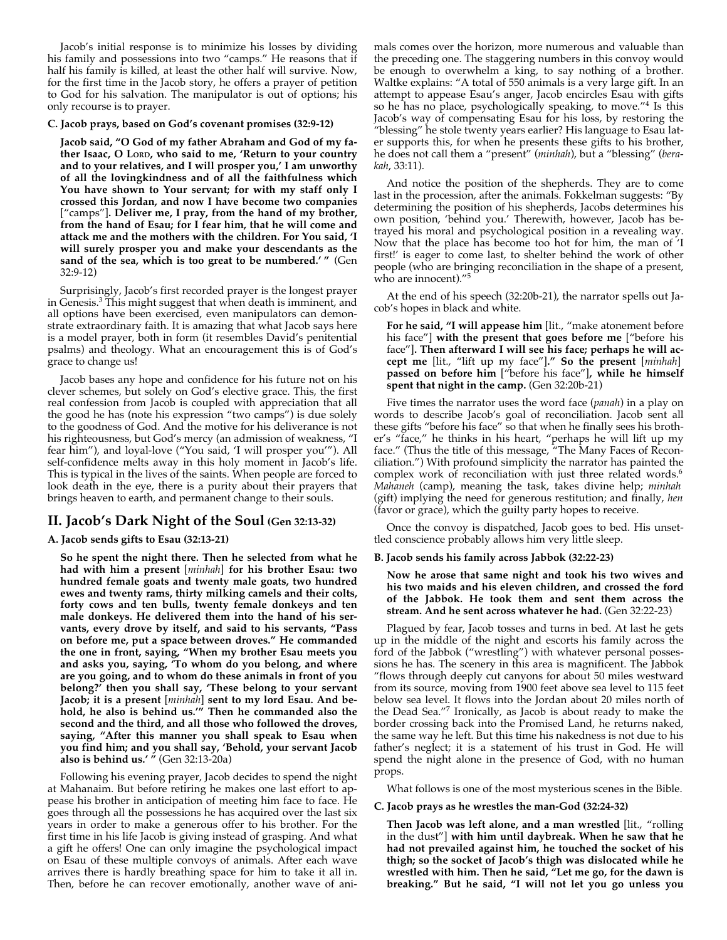Jacob's initial response is to minimize his losses by dividing his family and possessions into two "camps." He reasons that if half his family is killed, at least the other half will survive. Now, for the first time in the Jacob story, he offers a prayer of petition to God for his salvation. The manipulator is out of options; his only recourse is to prayer.

#### **C. Jacob prays, based on God's covenant promises (32:9-12)**

**Jacob said, "O God of my father Abraham and God of my father Isaac, O LORD, who said to me, 'Return to your country and to your relatives, and I will prosper you,' I am unworthy of all the lovingkindness and of all the faithfulness which You have shown to Your servant; for with my staff only I crossed this Jordan, and now I have become two companies** ["camps"]**. Deliver me, I pray, from the hand of my brother, from the hand of Esau; for I fear him, that he will come and attack me and the mothers with the children. For You said, 'I will surely prosper you and make your descendants as the sand of the sea, which is too great to be numbered.' "** (Gen 32:9-12)

Surprisingly, Jacob's first recorded prayer is the longest prayer in Genesis.3 This might suggest that when death is imminent, and all options have been exercised, even manipulators can demonstrate extraordinary faith. It is amazing that what Jacob says here is a model prayer, both in form (it resembles David's penitential psalms) and theology. What an encouragement this is of God's grace to change us!

Jacob bases any hope and confidence for his future not on his clever schemes, but solely on God's elective grace. This, the first real confession from Jacob is coupled with appreciation that all the good he has (note his expression "two camps") is due solely to the goodness of God. And the motive for his deliverance is not his righteousness, but God's mercy (an admission of weakness, "I fear him"), and loyal-love ("You said, 'I will prosper you'"). All self-confidence melts away in this holy moment in Jacob's life. This is typical in the lives of the saints. When people are forced to look death in the eye, there is a purity about their prayers that brings heaven to earth, and permanent change to their souls.

# **II. Jacob's Dark Night of the Soul (Gen 32:13-32)**

## **A. Jacob sends gifts to Esau (32:13-21)**

**So he spent the night there. Then he selected from what he had with him a present** [*minhah*] **for his brother Esau: two hundred female goats and twenty male goats, two hundred ewes and twenty rams, thirty milking camels and their colts, forty cows and ten bulls, twenty female donkeys and ten male donkeys. He delivered them into the hand of his servants, every drove by itself, and said to his servants, "Pass on before me, put a space between droves." He commanded the one in front, saying, "When my brother Esau meets you and asks you, saying, 'To whom do you belong, and where are you going, and to whom do these animals in front of you belong?' then you shall say, 'These belong to your servant Jacob; it is a present** [*minhah*] **sent to my lord Esau. And behold, he also is behind us.'" Then he commanded also the second and the third, and all those who followed the droves, saying, "After this manner you shall speak to Esau when you find him; and you shall say, 'Behold, your servant Jacob also is behind us.' "** (Gen 32:13-20a)

Following his evening prayer, Jacob decides to spend the night at Mahanaim. But before retiring he makes one last effort to appease his brother in anticipation of meeting him face to face. He goes through all the possessions he has acquired over the last six years in order to make a generous offer to his brother. For the first time in his life Jacob is giving instead of grasping. And what a gift he offers! One can only imagine the psychological impact on Esau of these multiple convoys of animals. After each wave arrives there is hardly breathing space for him to take it all in. Then, before he can recover emotionally, another wave of animals comes over the horizon, more numerous and valuable than the preceding one. The staggering numbers in this convoy would be enough to overwhelm a king, to say nothing of a brother. Waltke explains: "A total of 550 animals is a very large gift. In an attempt to appease Esau's anger, Jacob encircles Esau with gifts so he has no place, psychologically speaking, to move."4 Is this Jacob's way of compensating Esau for his loss, by restoring the "blessing" he stole twenty years earlier? His language to Esau later supports this, for when he presents these gifts to his brother, he does not call them a "present" (*minhah*), but a "blessing" (*berakah*, 33:11).

And notice the position of the shepherds. They are to come last in the procession, after the animals. Fokkelman suggests: "By determining the position of his shepherds, Jacobs determines his own position, 'behind you.' Therewith, however, Jacob has betrayed his moral and psychological position in a revealing way. Now that the place has become too hot for him, the man of 'I first!' is eager to come last, to shelter behind the work of other people (who are bringing reconciliation in the shape of a present, who are innocent)."<sup>5</sup>

At the end of his speech (32:20b-21), the narrator spells out Jacob's hopes in black and white.

**For he said, "I will appease him** [lit., "make atonement before his face"] **with the present that goes before me** ["before his face"]**. Then afterward I will see his face; perhaps he will accept me** [lit., "lift up my face"]**." So the present** [*minhah*] **passed on before him** ["before his face"]**, while he himself spent that night in the camp.** (Gen 32:20b-21)

Five times the narrator uses the word face (*panah*) in a play on words to describe Jacob's goal of reconciliation. Jacob sent all these gifts "before his face" so that when he finally sees his brother's "face," he thinks in his heart, "perhaps he will lift up my face." (Thus the title of this message, "The Many Faces of Reconciliation.") With profound simplicity the narrator has painted the complex work of reconciliation with just three related words.<sup>6</sup> *Mahaneh* (camp), meaning the task, takes divine help; *minhah* (gift) implying the need for generous restitution; and finally, *hen* (favor or grace), which the guilty party hopes to receive.

Once the convoy is dispatched, Jacob goes to bed. His unsettled conscience probably allows him very little sleep.

## **B. Jacob sends his family across Jabbok (32:22-23)**

**Now he arose that same night and took his two wives and his two maids and his eleven children, and crossed the ford of the Jabbok. He took them and sent them across the stream. And he sent across whatever he had.** (Gen 32:22-23)

Plagued by fear, Jacob tosses and turns in bed. At last he gets up in the middle of the night and escorts his family across the ford of the Jabbok ("wrestling") with whatever personal possessions he has. The scenery in this area is magnificent. The Jabbok "flows through deeply cut canyons for about 50 miles westward from its source, moving from 1900 feet above sea level to 115 feet below sea level. It flows into the Jordan about 20 miles north of the Dead Sea."7 Ironically, as Jacob is about ready to make the border crossing back into the Promised Land, he returns naked, the same way he left. But this time his nakedness is not due to his father's neglect; it is a statement of his trust in God. He will spend the night alone in the presence of God, with no human props.

What follows is one of the most mysterious scenes in the Bible.

## **C. Jacob prays as he wrestles the man-God (32:24-32)**

**Then Jacob was left alone, and a man wrestled** [lit., "rolling in the dust"] **with him until daybreak. When he saw that he had not prevailed against him, he touched the socket of his thigh; so the socket of Jacob's thigh was dislocated while he wrestled with him. Then he said, "Let me go, for the dawn is breaking." But he said, "I will not let you go unless you**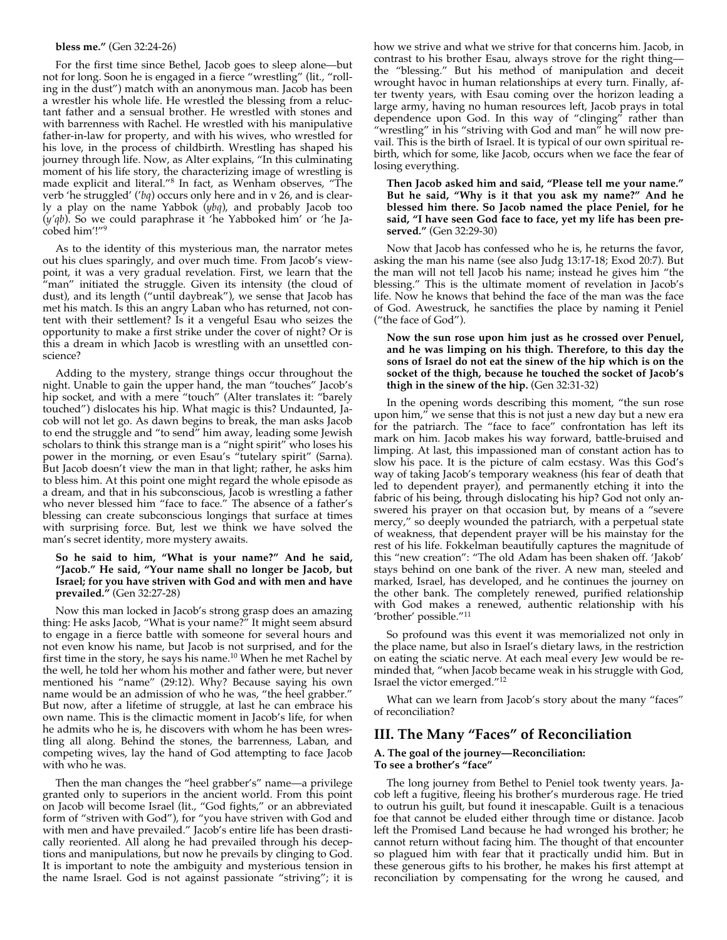## **bless me."** (Gen 32:24-26)

For the first time since Bethel, Jacob goes to sleep alone—but not for long. Soon he is engaged in a fierce "wrestling" (lit., "rolling in the dust") match with an anonymous man. Jacob has been a wrestler his whole life. He wrestled the blessing from a reluctant father and a sensual brother. He wrestled with stones and with barrenness with Rachel. He wrestled with his manipulative father-in-law for property, and with his wives, who wrestled for his love, in the process of childbirth. Wrestling has shaped his journey through life. Now, as Alter explains, "In this culminating moment of his life story, the characterizing image of wrestling is made explicit and literal."8 In fact, as Wenham observes, "The verb 'he struggled' ('*bq*) occurs only here and in v 26, and is clearly a play on the name Yabbok (*ybq*), and probably Jacob too (*y'qb*). So we could paraphrase it 'he Yabboked him' or 'he Jacobed him'!"9

As to the identity of this mysterious man, the narrator metes out his clues sparingly, and over much time. From Jacob's viewpoint, it was a very gradual revelation. First, we learn that the "man" initiated the struggle. Given its intensity (the cloud of dust), and its length ("until daybreak"), we sense that Jacob has met his match. Is this an angry Laban who has returned, not content with their settlement? Is it a vengeful Esau who seizes the opportunity to make a first strike under the cover of night? Or is this a dream in which Jacob is wrestling with an unsettled conscience?

Adding to the mystery, strange things occur throughout the night. Unable to gain the upper hand, the man "touches" Jacob's hip socket, and with a mere "touch" (Alter translates it: "barely touched") dislocates his hip. What magic is this? Undaunted, Jacob will not let go. As dawn begins to break, the man asks Jacob to end the struggle and "to send" him away, leading some Jewish scholars to think this strange man is a "night spirit" who loses his power in the morning, or even Esau's "tutelary spirit" (Sarna). But Jacob doesn't view the man in that light; rather, he asks him to bless him. At this point one might regard the whole episode as a dream, and that in his subconscious, Jacob is wrestling a father who never blessed him "face to face." The absence of a father's blessing can create subconscious longings that surface at times with surprising force. But, lest we think we have solved the man's secret identity, more mystery awaits.

#### **So he said to him, "What is your name?" And he said, "Jacob." He said, "Your name shall no longer be Jacob, but Israel; for you have striven with God and with men and have prevailed."** (Gen 32:27-28)

Now this man locked in Jacob's strong grasp does an amazing thing: He asks Jacob, "What is your name?" It might seem absurd to engage in a fierce battle with someone for several hours and not even know his name, but Jacob is not surprised, and for the first time in the story, he says his name.<sup>10</sup> When he met Rachel by the well, he told her whom his mother and father were, but never mentioned his "name" (29:12). Why? Because saying his own name would be an admission of who he was, "the heel grabber." But now, after a lifetime of struggle, at last he can embrace his own name. This is the climactic moment in Jacob's life, for when he admits who he is, he discovers with whom he has been wrestling all along. Behind the stones, the barrenness, Laban, and competing wives, lay the hand of God attempting to face Jacob with who he was.

Then the man changes the "heel grabber's" name—a privilege granted only to superiors in the ancient world. From this point on Jacob will become Israel (lit., "God fights," or an abbreviated form of "striven with God"), for "you have striven with God and with men and have prevailed." Jacob's entire life has been drastically reoriented. All along he had prevailed through his deceptions and manipulations, but now he prevails by clinging to God. It is important to note the ambiguity and mysterious tension in the name Israel. God is not against passionate "striving"; it is

how we strive and what we strive for that concerns him. Jacob, in contrast to his brother Esau, always strove for the right thing the "blessing." But his method of manipulation and deceit wrought havoc in human relationships at every turn. Finally, after twenty years, with Esau coming over the horizon leading a large army, having no human resources left, Jacob prays in total dependence upon God. In this way of "clinging" rather than "wrestling" in his "striving with God and man" he will now prevail. This is the birth of Israel. It is typical of our own spiritual rebirth, which for some, like Jacob, occurs when we face the fear of losing everything.

## **Then Jacob asked him and said, "Please tell me your name." But he said, "Why is it that you ask my name?" And he blessed him there. So Jacob named the place Peniel, for he said, "I have seen God face to face, yet my life has been preserved."** (Gen 32:29-30)

Now that Jacob has confessed who he is, he returns the favor, asking the man his name (see also Judg 13:17-18; Exod 20:7). But the man will not tell Jacob his name; instead he gives him "the blessing." This is the ultimate moment of revelation in Jacob's life. Now he knows that behind the face of the man was the face of God. Awestruck, he sanctifies the place by naming it Peniel ("the face of God").

## **Now the sun rose upon him just as he crossed over Penuel, and he was limping on his thigh. Therefore, to this day the sons of Israel do not eat the sinew of the hip which is on the socket of the thigh, because he touched the socket of Jacob's thigh in the sinew of the hip.** (Gen 32:31-32)

In the opening words describing this moment, "the sun rose upon him," we sense that this is not just a new day but a new era for the patriarch. The "face to face" confrontation has left its mark on him. Jacob makes his way forward, battle-bruised and limping. At last, this impassioned man of constant action has to slow his pace. It is the picture of calm ecstasy. Was this God's way of taking Jacob's temporary weakness (his fear of death that led to dependent prayer), and permanently etching it into the fabric of his being, through dislocating his hip? God not only answered his prayer on that occasion but, by means of a "severe mercy," so deeply wounded the patriarch, with a perpetual state of weakness, that dependent prayer will be his mainstay for the rest of his life. Fokkelman beautifully captures the magnitude of this "new creation": "The old Adam has been shaken off. 'Jakob' stays behind on one bank of the river. A new man, steeled and marked, Israel, has developed, and he continues the journey on the other bank. The completely renewed, purified relationship with God makes a renewed, authentic relationship with his 'brother' possible."<sup>11</sup>

So profound was this event it was memorialized not only in the place name, but also in Israel's dietary laws, in the restriction on eating the sciatic nerve. At each meal every Jew would be reminded that, "when Jacob became weak in his struggle with God, Israel the victor emerged."12

What can we learn from Jacob's story about the many "faces" of reconciliation?

# **III. The Many "Faces" of Reconciliation**

## **A. The goal of the journey—Reconciliation: To see a brother's "face"**

The long journey from Bethel to Peniel took twenty years. Jacob left a fugitive, fleeing his brother's murderous rage. He tried to outrun his guilt, but found it inescapable. Guilt is a tenacious foe that cannot be eluded either through time or distance. Jacob left the Promised Land because he had wronged his brother; he cannot return without facing him. The thought of that encounter so plagued him with fear that it practically undid him. But in these generous gifts to his brother, he makes his first attempt at reconciliation by compensating for the wrong he caused, and